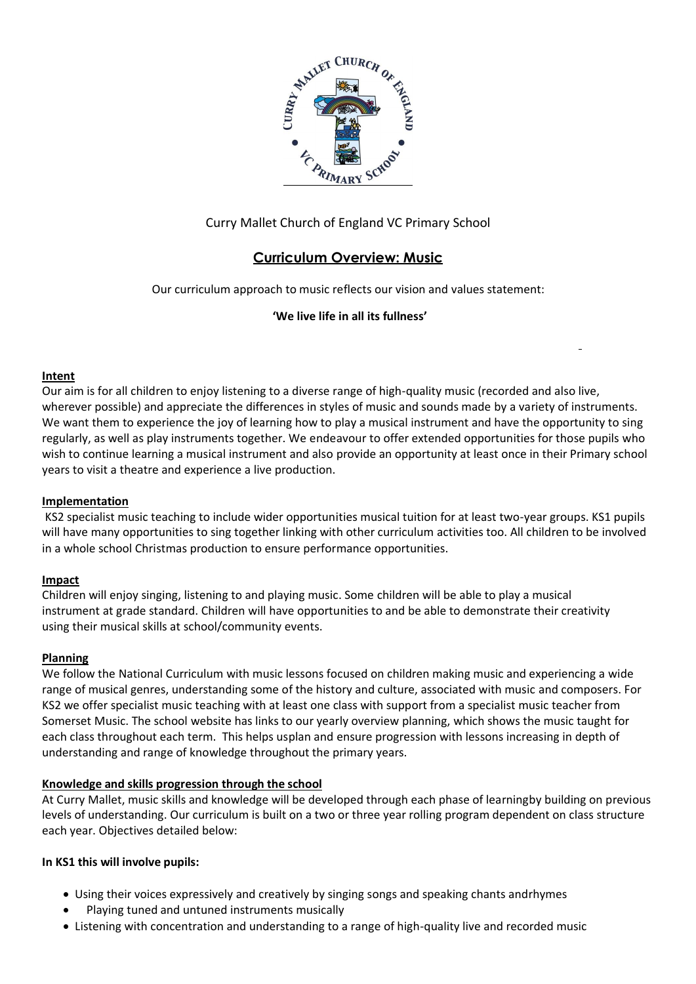

## Curry Mallet Church of England VC Primary School

# **Curriculum Overview: Music**

Our curriculum approach to music reflects our vision and values statement:

## **'We live life in all its fullness'**

## **Intent**

Our aim is for all children to enjoy listening to a diverse range of high-quality music (recorded and also live, wherever possible) and appreciate the differences in styles of music and sounds made by a variety of instruments. We want them to experience the joy of learning how to play a musical instrument and have the opportunity to sing regularly, as well as play instruments together. We endeavour to offer extended opportunities for those pupils who wish to continue learning a musical instrument and also provide an opportunity at least once in their Primary school years to visit a theatre and experience a live production.

#### **Implementation**

KS2 specialist music teaching to include wider opportunities musical tuition for at least two-year groups. KS1 pupils will have many opportunities to sing together linking with other curriculum activities too. All children to be involved in a whole school Christmas production to ensure performance opportunities.

#### **Impact**

Children will enjoy singing, listening to and playing music. Some children will be able to play a musical instrument at grade standard. Children will have opportunities to and be able to demonstrate their creativity using their musical skills at school/community events.

#### **Planning**

We follow the National Curriculum with music lessons focused on children making music and experiencing a wide range of musical genres, understanding some of the history and culture, associated with music and composers. For KS2 we offer specialist music teaching with at least one class with support from a specialist music teacher from Somerset Music. The school website has links to our yearly overview planning, which shows the music taught for each class throughout each term. This helps usplan and ensure progression with lessons increasing in depth of understanding and range of knowledge throughout the primary years.

## **Knowledge and skills progression through the school**

At Curry Mallet, music skills and knowledge will be developed through each phase of learningby building on previous levels of understanding. Our curriculum is built on a two or three year rolling program dependent on class structure each year. Objectives detailed below:

## **In KS1 this will involve pupils:**

- Using their voices expressively and creatively by singing songs and speaking chants andrhymes
- Playing tuned and untuned instruments musically
- Listening with concentration and understanding to a range of high-quality live and recorded music